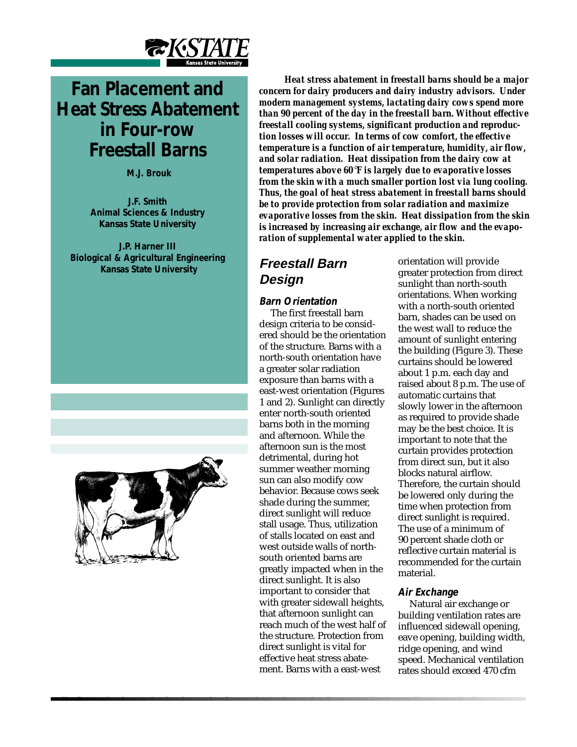

# **Fan Placement and Heat Stress Abatement in Four-row Freestall Barns**

 **M.J. Brouk**

**J.F. Smith Animal Sciences & Industry Kansas State University**

**J.P. Harner III Biological & Agricultural Engineering Kansas State University**



*Heat stress abatement in freestall barns should be a major concern for dairy producers and dairy industry advisors. Under modern management systems, lactating dairy cows spend more than 90 percent of the day in the freestall barn. Without effective freestall cooling systems, significant production and reproduction losses will occur. In terms of cow comfort, the effective temperature is a function of air temperature, humidity, air flow, and solar radiation. Heat dissipation from the dairy cow at temperatures above 60*°*F is largely due to evaporative losses from the skin with a much smaller portion lost via lung cooling. Thus, the goal of heat stress abatement in freestall barns should be to provide protection from solar radiation and maximize evaporative losses from the skin. Heat dissipation from the skin is increased by increasing air exchange, air flow and the evaporation of supplemental water applied to the skin.*

# **Freestall Barn Design**

### **Barn Orientation**

The first freestall barn design criteria to be considered should be the orientation of the structure. Barns with a north-south orientation have a greater solar radiation exposure than barns with a east-west orientation (Figures 1 and 2). Sunlight can directly enter north-south oriented barns both in the morning and afternoon. While the afternoon sun is the most detrimental, during hot summer weather morning sun can also modify cow behavior. Because cows seek shade during the summer, direct sunlight will reduce stall usage. Thus, utilization of stalls located on east and west outside walls of northsouth oriented barns are greatly impacted when in the direct sunlight. It is also important to consider that with greater sidewall heights, that afternoon sunlight can reach much of the west half of the structure. Protection from direct sunlight is vital for effective heat stress abatement. Barns with a east-west

orientation will provide greater protection from direct sunlight than north-south orientations. When working with a north-south oriented barn, shades can be used on the west wall to reduce the amount of sunlight entering the building (Figure 3). These curtains should be lowered about 1 p.m. each day and raised about 8 p.m. The use of automatic curtains that slowly lower in the afternoon as required to provide shade may be the best choice. It is important to note that the curtain provides protection from direct sun, but it also blocks natural airflow. Therefore, the curtain should be lowered only during the time when protection from direct sunlight is required. The use of a minimum of 90 percent shade cloth or reflective curtain material is recommended for the curtain material.

### **Air Exchange**

Natural air exchange or building ventilation rates are influenced sidewall opening, eave opening, building width, ridge opening, and wind speed. Mechanical ventilation rates should exceed 470 cfm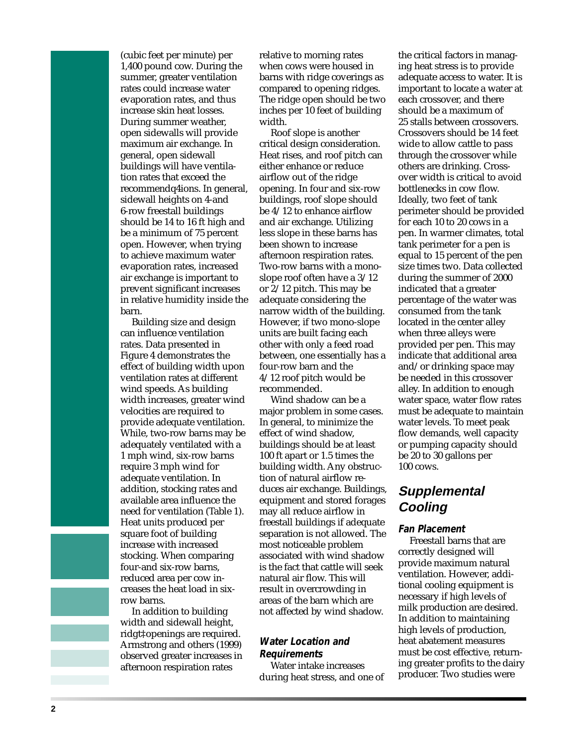(cubic feet per minute) per 1,400 pound cow. During the summer, greater ventilation rates could increase water evaporation rates, and thus increase skin heat losses. During summer weather, open sidewalls will provide maximum air exchange. In general, open sidewall buildings will have ventilation rates that exceed the recommendq4ions. In general, sidewall heights on 4-and 6-row freestall buildings should be 14 to 16 ft high and be a minimum of 75 percent open. However, when trying to achieve maximum water evaporation rates, increased air exchange is important to prevent significant increases in relative humidity inside the barn.

Building size and design can influence ventilation rates. Data presented in Figure 4 demonstrates the effect of building width upon ventilation rates at different wind speeds. As building width increases, greater wind velocities are required to provide adequate ventilation. While, two-row barns may be adequately ventilated with a 1 mph wind, six-row barns require 3 mph wind for adequate ventilation. In addition, stocking rates and available area influence the need for ventilation (Table 1). Heat units produced per square foot of building increase with increased stocking. When comparing four-and six-row barns, reduced area per cow increases the heat load in sixrow barns.

In addition to building width and sidewall height, ridgt‡openings are required. Armstrong and others (1999) observed greater increases in afternoon respiration rates

relative to morning rates when cows were housed in barns with ridge coverings as compared to opening ridges. The ridge open should be two inches per 10 feet of building width.

Roof slope is another critical design consideration. Heat rises, and roof pitch can either enhance or reduce airflow out of the ridge opening. In four and six-row buildings, roof slope should be 4/12 to enhance airflow and air exchange. Utilizing less slope in these barns has been shown to increase afternoon respiration rates. Two-row barns with a monoslope roof often have a 3/12 or 2/12 pitch. This may be adequate considering the narrow width of the building. However, if two mono-slope units are built facing each other with only a feed road between, one essentially has a four-row barn and the 4/12 roof pitch would be recommended.

Wind shadow can be a major problem in some cases. In general, to minimize the effect of wind shadow, buildings should be at least 100 ft apart or 1.5 times the building width. Any obstruction of natural airflow reduces air exchange. Buildings, equipment and stored forages may all reduce airflow in freestall buildings if adequate separation is not allowed. The most noticeable problem associated with wind shadow is the fact that cattle will seek natural air flow. This will result in overcrowding in areas of the barn which are not affected by wind shadow.

### **Water Location and Requirements**

Water intake increases during heat stress, and one of the critical factors in managing heat stress is to provide adequate access to water. It is important to locate a water at each crossover, and there should be a maximum of 25 stalls between crossovers. Crossovers should be 14 feet wide to allow cattle to pass through the crossover while others are drinking. Crossover width is critical to avoid bottlenecks in cow flow. Ideally, two feet of tank perimeter should be provided for each 10 to 20 cows in a pen. In warmer climates, total tank perimeter for a pen is equal to 15 percent of the pen size times two. Data collected during the summer of 2000 indicated that a greater percentage of the water was consumed from the tank located in the center alley when three alleys were provided per pen. This may indicate that additional area and/or drinking space may be needed in this crossover alley. In addition to enough water space, water flow rates must be adequate to maintain water levels. To meet peak flow demands, well capacity or pumping capacity should be 20 to 30 gallons per 100 cows.

## **Supplemental Cooling**

### **Fan Placement**

Freestall barns that are correctly designed will provide maximum natural ventilation. However, additional cooling equipment is necessary if high levels of milk production are desired. In addition to maintaining high levels of production, heat abatement measures must be cost effective, returning greater profits to the dairy producer. Two studies were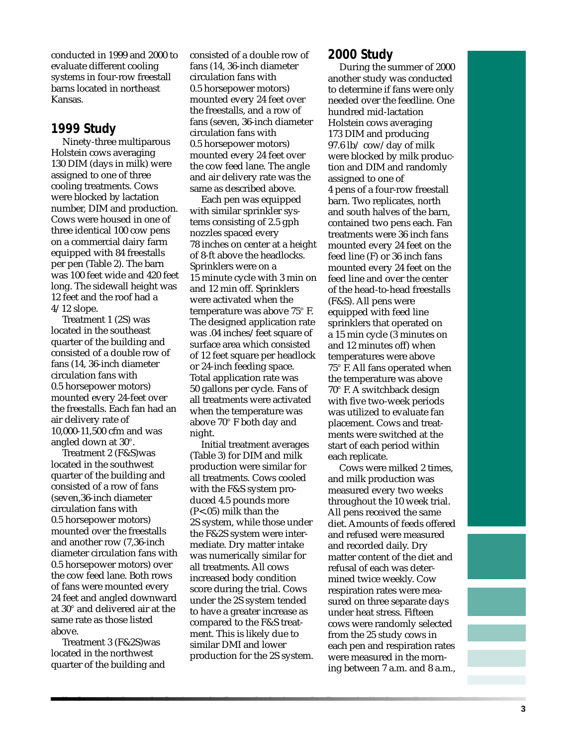conducted in 1999 and 2000 to evaluate different cooling systems in four-row freestall barns located in northeast Kansas.

### **1999 Study**

Ninety-three multiparous Holstein cows averaging 130 DIM (days in milk) were assigned to one of three cooling treatments. Cows were blocked by lactation number, DIM and production. Cows were housed in one of three identical 100 cow pens on a commercial dairy farm equipped with 84 freestalls per pen (Table 2). The barn was 100 feet wide and 420 feet long. The sidewall height was 12 feet and the roof had a 4/12 slope.

Treatment 1 (2S) was located in the southeast quarter of the building and consisted of a double row of fans (14, 36-inch diameter circulation fans with 0.5 horsepower motors) mounted every 24-feet over the freestalls. Each fan had an air delivery rate of 10,000-11,500 cfm and was angled down at 30°.

Treatment 2 (F&S)was located in the southwest quarter of the building and consisted of a row of fans (seven,36-inch diameter circulation fans with 0.5 horsepower motors) mounted over the freestalls and another row (7,36-inch diameter circulation fans with 0.5 horsepower motors) over the cow feed lane. Both rows of fans were mounted every 24 feet and angled downward at 30° and delivered air at the same rate as those listed above.

Treatment 3 (F&2S)was located in the northwest quarter of the building and

consisted of a double row of fans (14, 36-inch diameter circulation fans with 0.5 horsepower motors) mounted every 24 feet over the freestalls, and a row of fans (seven, 36-inch diameter circulation fans with 0.5 horsepower motors) mounted every 24 feet over the cow feed lane. The angle and air delivery rate was the same as described above.

Each pen was equipped with similar sprinkler systems consisting of 2.5 gph nozzles spaced every 78 inches on center at a height of 8-ft above the headlocks. Sprinklers were on a 15 minute cycle with 3 min on and 12 min off. Sprinklers were activated when the temperature was above 75° F. The designed application rate was .04 inches/feet square of surface area which consisted of 12 feet square per headlock or 24-inch feeding space. Total application rate was 50 gallons per cycle. Fans of all treatments were activated when the temperature was above 70° F both day and night.

Initial treatment averages (Table 3) for DIM and milk production were similar for all treatments. Cows cooled with the F&S system produced 4.5 pounds more (P<.05) milk than the 2S system, while those under the F&2S system were intermediate. Dry matter intake was numerically similar for all treatments. All cows increased body condition score during the trial. Cows under the 2S system tended to have a greater increase as compared to the F&S treatment. This is likely due to similar DMI and lower production for the 2S system.

### **2000 Study**

During the summer of 2000 another study was conducted to determine if fans were only needed over the feedline. One hundred mid-lactation Holstein cows averaging 173 DIM and producing 97.6 lb/ cow/day of milk were blocked by milk production and DIM and randomly assigned to one of 4 pens of a four-row freestall barn. Two replicates, north and south halves of the barn, contained two pens each. Fan treatments were 36 inch fans mounted every 24 feet on the feed line (F) or 36 inch fans mounted every 24 feet on the feed line and over the center of the head-to-head freestalls (F&S). All pens were equipped with feed line sprinklers that operated on a 15 min cycle (3 minutes on and 12 minutes off) when temperatures were above 75° F. All fans operated when the temperature was above 70° F. A switchback design with five two-week periods was utilized to evaluate fan placement. Cows and treatments were switched at the start of each period within each replicate.

Cows were milked 2 times, and milk production was measured every two weeks throughout the 10 week trial. All pens received the same diet. Amounts of feeds offered and refused were measured and recorded daily. Dry matter content of the diet and refusal of each was determined twice weekly. Cow respiration rates were measured on three separate days under heat stress. Fifteen cows were randomly selected from the 25 study cows in each pen and respiration rates were measured in the morning between 7 a.m. and 8 a.m.,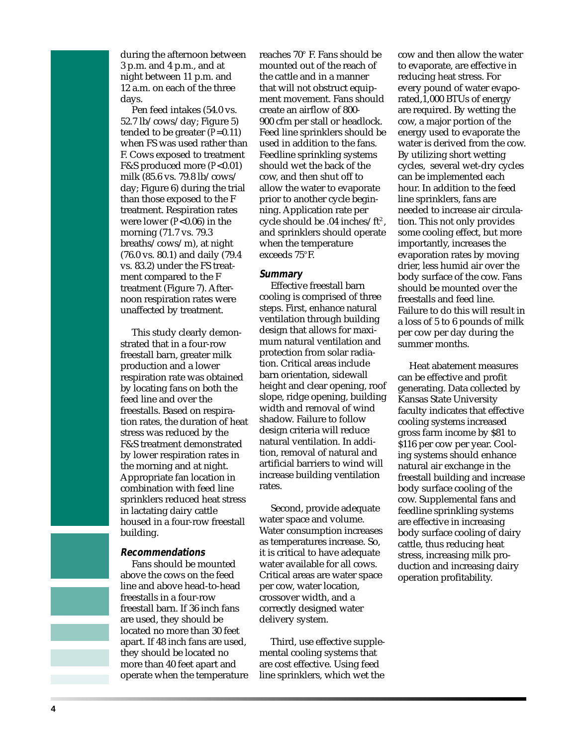during the afternoon between 3 p.m. and 4 p.m., and at night between 11 p.m. and 12 a.m. on each of the three days.

Pen feed intakes (54.0 vs. 52.7 lb/cows/day; Figure 5) tended to be greater (*P*=0.11) when FS was used rather than F. Cows exposed to treatment F&S produced more (*P*<0.01) milk (85.6 vs. 79.8 lb/cows/ day; Figure 6) during the trial than those exposed to the F treatment. Respiration rates were lower (*P*<0.06) in the morning (71.7 vs. 79.3 breaths/cows/m), at night (76.0 vs. 80.1) and daily (79.4 vs. 83.2) under the FS treatment compared to the F treatment (Figure 7). Afternoon respiration rates were unaffected by treatment.

This study clearly demonstrated that in a four-row freestall barn, greater milk production and a lower respiration rate was obtained by locating fans on both the feed line and over the freestalls. Based on respiration rates, the duration of heat stress was reduced by the F&S treatment demonstrated by lower respiration rates in the morning and at night. Appropriate fan location in combination with feed line sprinklers reduced heat stress in lactating dairy cattle housed in a four-row freestall building.

### **Recommendations**

Fans should be mounted above the cows on the feed line and above head-to-head freestalls in a four-row freestall barn. If 36 inch fans are used, they should be located no more than 30 feet apart. If 48 inch fans are used, they should be located no more than 40 feet apart and operate when the temperature reaches 70° F. Fans should be mounted out of the reach of the cattle and in a manner that will not obstruct equipment movement. Fans should create an airflow of 800- 900 cfm per stall or headlock. Feed line sprinklers should be used in addition to the fans. Feedline sprinkling systems should wet the back of the cow, and then shut off to allow the water to evaporate prior to another cycle beginning. Application rate per cycle should be .04 inches/ft2 , and sprinklers should operate when the temperature exceeds 75°F.

#### **Summary**

Effective freestall barn cooling is comprised of three steps. First, enhance natural ventilation through building design that allows for maximum natural ventilation and protection from solar radiation. Critical areas include barn orientation, sidewall height and clear opening, roof slope, ridge opening, building width and removal of wind shadow. Failure to follow design criteria will reduce natural ventilation. In addition, removal of natural and artificial barriers to wind will increase building ventilation rates.

Second, provide adequate water space and volume. Water consumption increases as temperatures increase. So, it is critical to have adequate water available for all cows. Critical areas are water space per cow, water location, crossover width, and a correctly designed water delivery system.

Third, use effective supplemental cooling systems that are cost effective. Using feed line sprinklers, which wet the

cow and then allow the water to evaporate, are effective in reducing heat stress. For every pound of water evaporated,1,000 BTUs of energy are required. By wetting the cow, a major portion of the energy used to evaporate the water is derived from the cow. By utilizing short wetting cycles, several wet-dry cycles can be implemented each hour. In addition to the feed line sprinklers, fans are needed to increase air circulation. This not only provides some cooling effect, but more importantly, increases the evaporation rates by moving drier, less humid air over the body surface of the cow. Fans should be mounted over the freestalls and feed line. Failure to do this will result in a loss of 5 to 6 pounds of milk per cow per day during the summer months.

Heat abatement measures can be effective and profit generating. Data collected by Kansas State University faculty indicates that effective cooling systems increased gross farm income by \$81 to \$116 per cow per year. Cooling systems should enhance natural air exchange in the freestall building and increase body surface cooling of the cow. Supplemental fans and feedline sprinkling systems are effective in increasing body surface cooling of dairy cattle, thus reducing heat stress, increasing milk production and increasing dairy operation profitability.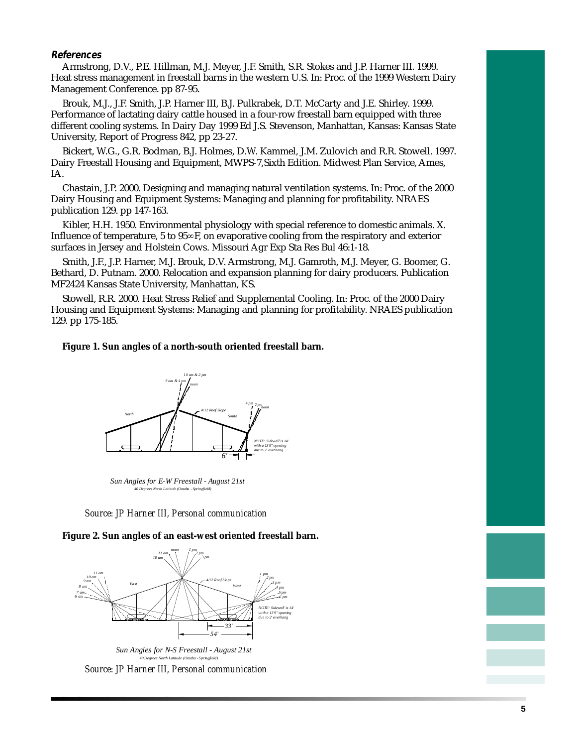### **References**

Armstrong, D.V., P.E. Hillman, M.J. Meyer, J.F. Smith, S.R. Stokes and J.P. Harner III. 1999. Heat stress management in freestall barns in the western U.S. In: Proc. of the 1999 Western Dairy Management Conference. pp 87-95.

Brouk, M.J., J.F. Smith, J.P. Harner III, B.J. Pulkrabek, D.T. McCarty and J.E. Shirley. 1999. Performance of lactating dairy cattle housed in a four-row freestall barn equipped with three different cooling systems. In Dairy Day 1999 Ed J.S. Stevenson, Manhattan, Kansas: Kansas State University, Report of Progress 842, pp 23-27.

Bickert, W.G., G.R. Bodman, B.J. Holmes, D.W. Kammel, J.M. Zulovich and R.R. Stowell. 1997. Dairy Freestall Housing and Equipment, MWPS-7,Sixth Edition. Midwest Plan Service, Ames, IA.

Chastain, J.P. 2000. Designing and managing natural ventilation systems. In: Proc. of the 2000 Dairy Housing and Equipment Systems: Managing and planning for profitability. NRAES publication 129. pp 147-163.

Kibler, H.H. 1950. Environmental physiology with special reference to domestic animals. X. Influence of temperature, 5 to 95∞F, on evaporative cooling from the respiratory and exterior surfaces in Jersey and Holstein Cows. Missouri Agr Exp Sta Res Bul 46:1-18.

Smith, J.F., J.P. Harner, M.J. Brouk, D.V. Armstrong, M.J. Gamroth, M.J. Meyer, G. Boomer, G. Bethard, D. Putnam. 2000. Relocation and expansion planning for dairy producers. Publication MF2424 Kansas State University, Manhattan, KS.

Stowell, R.R. 2000. Heat Stress Relief and Supplemental Cooling. In: Proc. of the 2000 Dairy Housing and Equipment Systems: Managing and planning for profitability. NRAES publication 129. pp 175-185.

### **Figure 1. Sun angles of a north-south oriented freestall barn.**



*Sun Angles for E-W Freestall - August 21st 40 Degrees North Latitude (Omaha - Springfield)*



**Figure 2. Sun angles of an east-west oriented freestall barn.**



*Source: JP Harner III, Personal communication*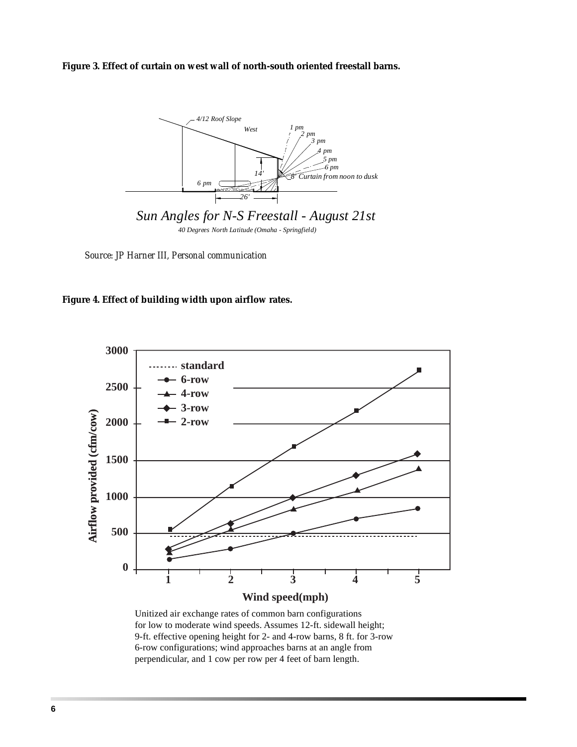**Figure 3. Effect of curtain on west wall of north-south oriented freestall barns.**



*Source: JP Harner III, Personal communication*





Unitized air exchange rates of common barn configurations for low to moderate wind speeds. Assumes 12-ft. sidewall height; 9-ft. effective opening height for 2- and 4-row barns, 8 ft. for 3-row 6-row configurations; wind approaches barns at an angle from perpendicular, and 1 cow per row per 4 feet of barn length.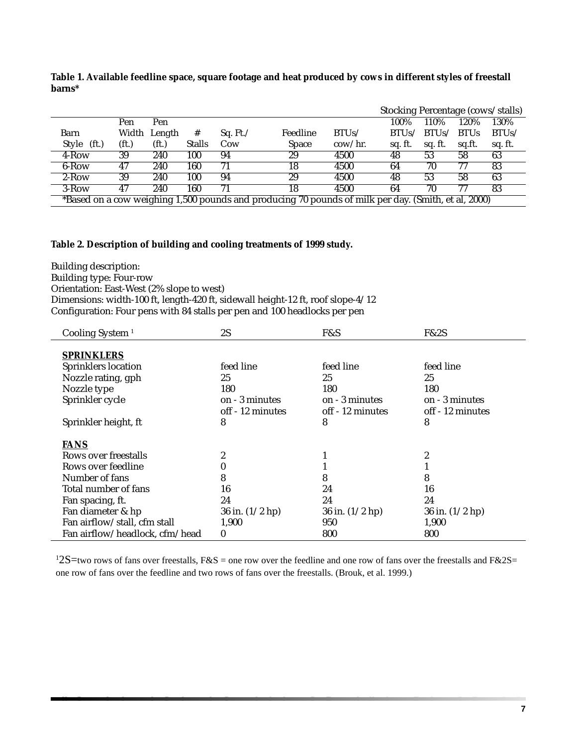**Table 1. Available feedline space, square footage and heat produced by cows in different styles of freestall barns\***

|                                                                                                     |                   |                   |               |                  |              |                  | Stocking Percentage (cows/stalls) |         |             |         |  |
|-----------------------------------------------------------------------------------------------------|-------------------|-------------------|---------------|------------------|--------------|------------------|-----------------------------------|---------|-------------|---------|--|
|                                                                                                     | Pen               | Pen               |               |                  |              |                  | 100%                              | 110\%   | 120%        | 130%    |  |
| Barn                                                                                                |                   | Width Length      | #             | Sq. Ft. $\angle$ | Feedline     | BTUs/            | RTUS                              | BTUs/   | <b>BTUs</b> | BTUs/   |  |
| Style (ft.)                                                                                         | (f <sub>t</sub> ) | (f <sub>t</sub> ) | <b>Stalls</b> | Cow              | <b>Space</b> | $\text{cow/hr.}$ | sq. ft.                           | sq. ft. | sq.ft.      | sq. ft. |  |
| $4$ -Row                                                                                            | 39                | 240               | 100           | 94               | 29           | 4500             | 48                                | 53      | 58          | 63      |  |
| 6-Row                                                                                               | 47                | 240               | 160           | 71               | 18           | 4500             | 64                                | 70      |             | 83      |  |
| $2-Row$                                                                                             | 39                | 240               | 100           | 94               | 29           | 4500             | 48                                | 53      | 58          | 63      |  |
| $3-Row$                                                                                             | 47                | 240               | 160           | 71               | 18           | 4500             | 64                                | 70      | 77          | 83      |  |
| *Based on a cow weighing 1,500 pounds and producing 70 pounds of milk per day. (Smith, et al, 2000) |                   |                   |               |                  |              |                  |                                   |         |             |         |  |

### **Table 2. Description of building and cooling treatments of 1999 study.**

Building description:

Building type: Four-row

Orientation: East-West (2% slope to west)

Dimensions: width-100 ft, length-420 ft, sidewall height-12 ft, roof slope-4/12

Configuration: Four pens with 84 stalls per pen and 100 headlocks per pen

| Cooling System <sup>1</sup>    | 2S                | F&S               | F&2S              |
|--------------------------------|-------------------|-------------------|-------------------|
|                                |                   |                   |                   |
| <b>SPRINKLERS</b>              |                   |                   |                   |
| <b>Sprinklers location</b>     | feed line         | feed line         | feed line         |
| Nozzle rating, gph             | 25                | 25                | 25                |
| Nozzle type                    | 180               | 180               | 180               |
| Sprinkler cycle                | on - 3 minutes    | on - 3 minutes    | on - 3 minutes    |
|                                | off - 12 minutes  | off - 12 minutes  | off - 12 minutes  |
| Sprinkler height, ft           | 8                 | 8                 | 8                 |
|                                |                   |                   |                   |
| <b>FANS</b>                    |                   |                   |                   |
| Rows over freestalls           | 2                 |                   | 2                 |
| Rows over feedline             | 0                 |                   |                   |
| Number of fans                 | 8                 | 8                 | 8                 |
| Total number of fans           | 16                | 24                | 16                |
| Fan spacing, ft.               | 24                | 24                | 24                |
| Fan diameter & hp              | 36 in. $(1/2$ hp) | 36 in. $(1/2$ hp) | 36 in. $(1/2$ hp) |
| Fan airflow/stall, cfm stall   | 1,900             | 950               | 1,900             |
| Fan airflow/headlock, cfm/head | $\bf{0}$          | 800               | 800               |

 $12S$ =two rows of fans over freestalls, F&S = one row over the feedline and one row of fans over the freestalls and F&2S= one row of fans over the feedline and two rows of fans over the freestalls. (Brouk, et al. 1999.)